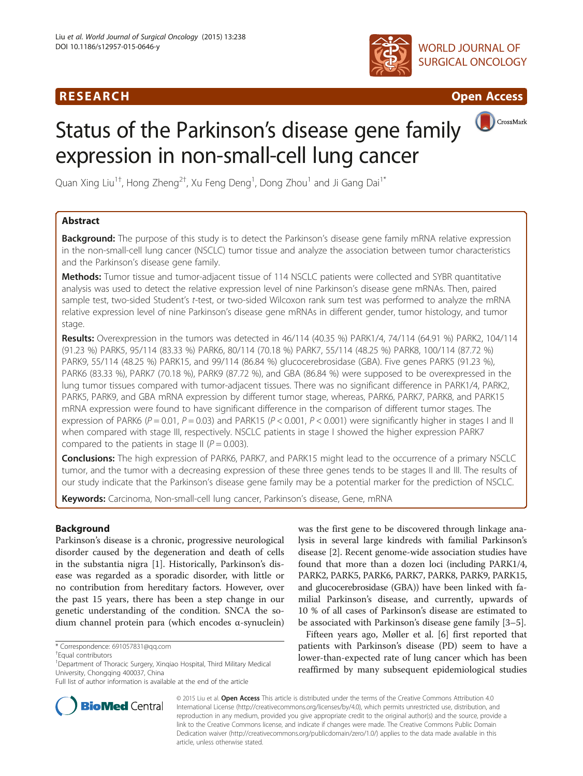# R E S EAR CH Open Access





# Status of the Parkinson's disease gene family expression in non-small-cell lung cancer



Quan Xing Liu<sup>1†</sup>, Hong Zheng<sup>2†</sup>, Xu Feng Deng<sup>1</sup>, Dong Zhou<sup>1</sup> and Ji Gang Dai<sup>1\*</sup>

# Abstract

Background: The purpose of this study is to detect the Parkinson's disease gene family mRNA relative expression in the non-small-cell lung cancer (NSCLC) tumor tissue and analyze the association between tumor characteristics and the Parkinson's disease gene family.

**Methods:** Tumor tissue and tumor-adjacent tissue of 114 NSCLC patients were collected and SYBR quantitative analysis was used to detect the relative expression level of nine Parkinson's disease gene mRNAs. Then, paired sample test, two-sided Student's t-test, or two-sided Wilcoxon rank sum test was performed to analyze the mRNA relative expression level of nine Parkinson's disease gene mRNAs in different gender, tumor histology, and tumor stage.

Results: Overexpression in the tumors was detected in 46/114 (40.35 %) PARK1/4, 74/114 (64.91 %) PARK2, 104/114 (91.23 %) PARK5, 95/114 (83.33 %) PARK6, 80/114 (70.18 %) PARK7, 55/114 (48.25 %) PARK8, 100/114 (87.72 %) PARK9, 55/114 (48.25 %) PARK15, and 99/114 (86.84 %) glucocerebrosidase (GBA). Five genes PARK5 (91.23 %), PARK6 (83.33 %), PARK7 (70.18 %), PARK9 (87.72 %), and GBA (86.84 %) were supposed to be overexpressed in the lung tumor tissues compared with tumor-adjacent tissues. There was no significant difference in PARK1/4, PARK2, PARK5, PARK9, and GBA mRNA expression by different tumor stage, whereas, PARK6, PARK7, PARK8, and PARK15 mRNA expression were found to have significant difference in the comparison of different tumor stages. The expression of PARK6 ( $P = 0.01$ ,  $P = 0.03$ ) and PARK15 ( $P < 0.001$ ,  $P < 0.001$ ) were significantly higher in stages I and II when compared with stage III, respectively. NSCLC patients in stage I showed the higher expression PARK7 compared to the patients in stage II ( $P = 0.003$ ).

Conclusions: The high expression of PARK6, PARK7, and PARK15 might lead to the occurrence of a primary NSCLC tumor, and the tumor with a decreasing expression of these three genes tends to be stages II and III. The results of our study indicate that the Parkinson's disease gene family may be a potential marker for the prediction of NSCLC.

Keywords: Carcinoma, Non-small-cell lung cancer, Parkinson's disease, Gene, mRNA

# Background

Parkinson's disease is a chronic, progressive neurological disorder caused by the degeneration and death of cells in the substantia nigra [\[1](#page-5-0)]. Historically, Parkinson's disease was regarded as a sporadic disorder, with little or no contribution from hereditary factors. However, over the past 15 years, there has been a step change in our genetic understanding of the condition. SNCA the sodium channel protein para (which encodes α-synuclein)

was the first gene to be discovered through linkage analysis in several large kindreds with familial Parkinson's disease [\[2](#page-5-0)]. Recent genome-wide association studies have found that more than a dozen loci (including PARK1/4, PARK2, PARK5, PARK6, PARK7, PARK8, PARK9, PARK15, and glucocerebrosidase (GBA)) have been linked with familial Parkinson's disease, and currently, upwards of 10 % of all cases of Parkinson's disease are estimated to be associated with Parkinson's disease gene family [[3](#page-5-0)–[5](#page-5-0)].

Fifteen years ago, Møller et al. [[6\]](#page-5-0) first reported that patients with Parkinson's disease (PD) seem to have a lower-than-expected rate of lung cancer which has been reaffirmed by many subsequent epidemiological studies



© 2015 Liu et al. Open Access This article is distributed under the terms of the Creative Commons Attribution 4.0 International License [\(http://creativecommons.org/licenses/by/4.0](http://creativecommons.org/licenses/by/4.0)), which permits unrestricted use, distribution, and reproduction in any medium, provided you give appropriate credit to the original author(s) and the source, provide a link to the Creative Commons license, and indicate if changes were made. The Creative Commons Public Domain Dedication waiver ([http://creativecommons.org/publicdomain/zero/1.0/\)](http://creativecommons.org/publicdomain/zero/1.0/) applies to the data made available in this article, unless otherwise stated.

<sup>\*</sup> Correspondence: [691057831@qq.com](mailto:691057831@qq.com) †

Equal contributors

<sup>&</sup>lt;sup>1</sup> Department of Thoracic Surgery, Xinqiao Hospital, Third Military Medical University, Chongqing 400037, China

Full list of author information is available at the end of the article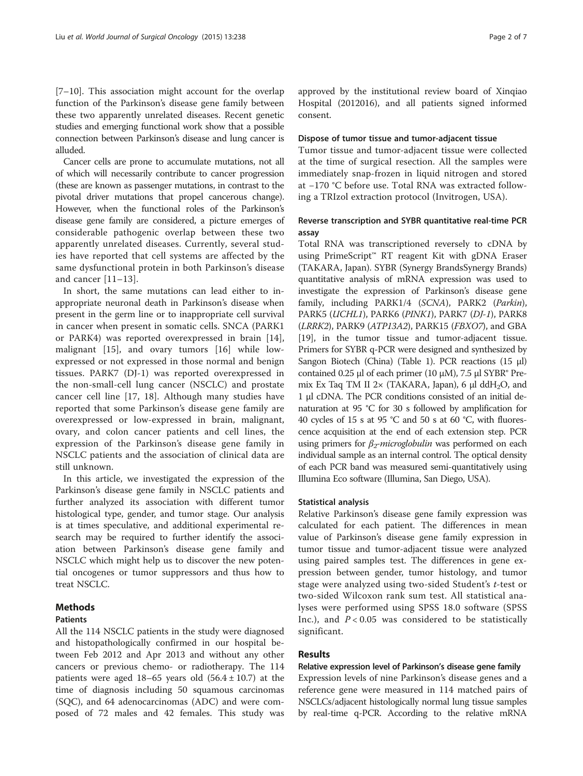[[7](#page-5-0)–[10\]](#page-5-0). This association might account for the overlap function of the Parkinson's disease gene family between these two apparently unrelated diseases. Recent genetic studies and emerging functional work show that a possible connection between Parkinson's disease and lung cancer is alluded.

Cancer cells are prone to accumulate mutations, not all of which will necessarily contribute to cancer progression (these are known as passenger mutations, in contrast to the pivotal driver mutations that propel cancerous change). However, when the functional roles of the Parkinson's disease gene family are considered, a picture emerges of considerable pathogenic overlap between these two apparently unrelated diseases. Currently, several studies have reported that cell systems are affected by the same dysfunctional protein in both Parkinson's disease and cancer [\[11](#page-5-0)–[13\]](#page-5-0).

In short, the same mutations can lead either to inappropriate neuronal death in Parkinson's disease when present in the germ line or to inappropriate cell survival in cancer when present in somatic cells. SNCA (PARK1 or PARK4) was reported overexpressed in brain [\[14](#page-5-0)], malignant [[15\]](#page-5-0), and ovary tumors [[16\]](#page-5-0) while lowexpressed or not expressed in those normal and benign tissues. PARK7 (DJ-1) was reported overexpressed in the non-small-cell lung cancer (NSCLC) and prostate cancer cell line [\[17](#page-6-0), [18](#page-6-0)]. Although many studies have reported that some Parkinson's disease gene family are overexpressed or low-expressed in brain, malignant, ovary, and colon cancer patients and cell lines, the expression of the Parkinson's disease gene family in NSCLC patients and the association of clinical data are still unknown.

In this article, we investigated the expression of the Parkinson's disease gene family in NSCLC patients and further analyzed its association with different tumor histological type, gender, and tumor stage. Our analysis is at times speculative, and additional experimental research may be required to further identify the association between Parkinson's disease gene family and NSCLC which might help us to discover the new potential oncogenes or tumor suppressors and thus how to treat NSCLC.

# Methods

#### **Patients**

All the 114 NSCLC patients in the study were diagnosed and histopathologically confirmed in our hospital between Feb 2012 and Apr 2013 and without any other cancers or previous chemo- or radiotherapy. The 114 patients were aged 18–65 years old  $(56.4 \pm 10.7)$  at the time of diagnosis including 50 squamous carcinomas (SQC), and 64 adenocarcinomas (ADC) and were composed of 72 males and 42 females. This study was

approved by the institutional review board of Xinqiao Hospital (2012016), and all patients signed informed consent.

#### Dispose of tumor tissue and tumor-adjacent tissue

Tumor tissue and tumor-adjacent tissue were collected at the time of surgical resection. All the samples were immediately snap-frozen in liquid nitrogen and stored at −170 °C before use. Total RNA was extracted following a TRIzol extraction protocol (Invitrogen, USA).

## Reverse transcription and SYBR quantitative real-time PCR assay

Total RNA was transcriptioned reversely to cDNA by using PrimeScript™ RT reagent Kit with gDNA Eraser (TAKARA, Japan). SYBR (Synergy BrandsSynergy Brands) quantitative analysis of mRNA expression was used to investigate the expression of Parkinson's disease gene family, including PARK1/4 (SCNA), PARK2 (Parkin), PARK5 (UCHL1), PARK6 (PINK1), PARK7 (DJ-1), PARK8 (LRRK2), PARK9 (ATP13A2), PARK15 (FBXO7), and GBA [[19](#page-6-0)], in the tumor tissue and tumor-adjacent tissue. Primers for SYBR q-PCR were designed and synthesized by Sangon Biotech (China) (Table [1\)](#page-2-0). PCR reactions (15 μl) contained 0.25 μl of each primer (10 μM), 7.5 μl SYBR® Premix Ex Taq TM II  $2 \times$  (TAKARA, Japan), 6  $\mu$ l ddH<sub>2</sub>O, and 1 μl cDNA. The PCR conditions consisted of an initial denaturation at 95 °C for 30 s followed by amplification for 40 cycles of 15 s at 95 °C and 50 s at 60 °C, with fluorescence acquisition at the end of each extension step. PCR using primers for  $\beta_2$ -microglobulin was performed on each individual sample as an internal control. The optical density of each PCR band was measured semi-quantitatively using Illumina Eco software (Illumina, San Diego, USA).

#### Statistical analysis

Relative Parkinson's disease gene family expression was calculated for each patient. The differences in mean value of Parkinson's disease gene family expression in tumor tissue and tumor-adjacent tissue were analyzed using paired samples test. The differences in gene expression between gender, tumor histology, and tumor stage were analyzed using two-sided Student'<sup>s</sup> t-test or two-sided Wilcoxon rank sum test. All statistical analyses were performed using SPSS 18.0 software (SPSS Inc.), and  $P < 0.05$  was considered to be statistically significant.

#### Results

#### Relative expression level of Parkinson's disease gene family

Expression levels of nine Parkinson's disease genes and a reference gene were measured in 114 matched pairs of NSCLCs/adjacent histologically normal lung tissue samples by real-time q-PCR. According to the relative mRNA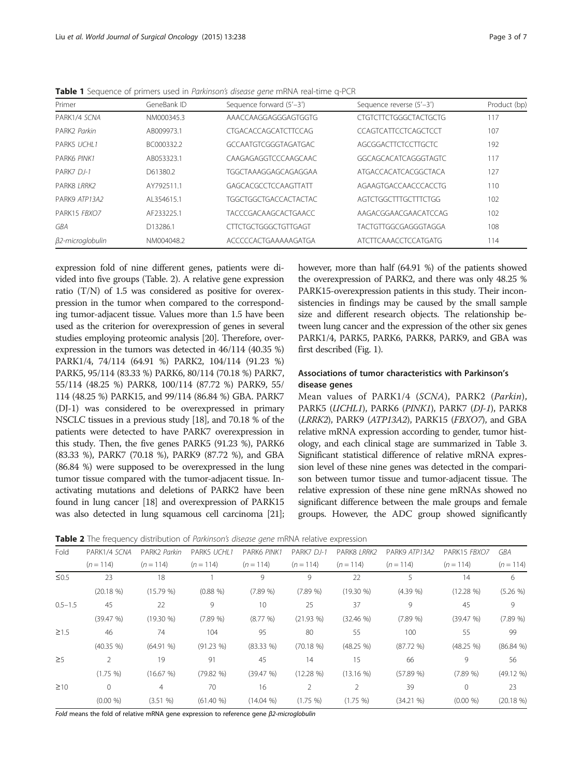| Primer                   | GeneBank ID | Sequence forward (5'-3')    | Sequence reverse (5'-3')    | Product (bp) |
|--------------------------|-------------|-----------------------------|-----------------------------|--------------|
| PARK1/4 SCNA             | NM000345.3  | AAACCAAGGAGGGAGTGGTG        | CIGICITCIGGGCTACIGCIG       | 117          |
| PARK <sub>2</sub> Parkin | AB009973.1  | CTGACACCAGCATCTTCCAG        | CCAGTCATTCCTCAGCTCCT        | 107          |
| PARK5 UCHI 1             | BC000332.2  | GCCAATGTCGGGTAGATGAC        | AGCGGACTICICCITGCIC         | 192          |
| PARK6 PINK1              | AB053323.1  | CAAGAGAGGTCCCAAGCAAC        | GGCAGCACATCAGGGTAGTC        | 117          |
| PARK7 DI-1               | D61380.2    | TGGCTAAAGGAGCAGAGGAA        | ATGACCACATCACGGCTACA        | 127          |
| PARK8 <i>I RRK2</i>      | AY792511.1  | GAGCACGCCTCCAAGTTATT        | AGAAGTGACCAACCCACCTG        | 110          |
| PARK9 ATP13A2            | AI 354615.1 | TGGCTGGCTGACCACTACTAC       | AGTCTGGCTTTGCTTTCTGG        | 102          |
| PARK15 FBXO7             | AF233225.1  | <b>TACCCGACAAGCACTGAACC</b> | AAGACGGAACGAACATCCAG        | 102          |
| GBA                      | D13286.1    | CITCTGCTGGGCTGTTGAGT        | TACTGTTGGCGAGGGTAGGA        | 108          |
| β2-microglobulin         | NM004048.2  | ACCCCCACTGAAAAAGATGA        | <b>ATCTTCAAACCTCCATGATG</b> | 114          |

<span id="page-2-0"></span>Table 1 Sequence of primers used in Parkinson's disease gene mRNA real-time q-PCR

expression fold of nine different genes, patients were divided into five groups (Table. 2). A relative gene expression ratio (T/N) of 1.5 was considered as positive for overexpression in the tumor when compared to the corresponding tumor-adjacent tissue. Values more than 1.5 have been used as the criterion for overexpression of genes in several studies employing proteomic analysis [\[20\]](#page-6-0). Therefore, overexpression in the tumors was detected in 46/114 (40.35 %) PARK1/4, 74/114 (64.91 %) PARK2, 104/114 (91.23 %) PARK5, 95/114 (83.33 %) PARK6, 80/114 (70.18 %) PARK7, 55/114 (48.25 %) PARK8, 100/114 (87.72 %) PARK9, 55/ 114 (48.25 %) PARK15, and 99/114 (86.84 %) GBA. PARK7 (DJ-1) was considered to be overexpressed in primary NSCLC tissues in a previous study [\[18\]](#page-6-0), and 70.18 % of the patients were detected to have PARK7 overexpression in this study. Then, the five genes PARK5 (91.23 %), PARK6 (83.33 %), PARK7 (70.18 %), PARK9 (87.72 %), and GBA (86.84 %) were supposed to be overexpressed in the lung tumor tissue compared with the tumor-adjacent tissue. Inactivating mutations and deletions of PARK2 have been found in lung cancer [[18](#page-6-0)] and overexpression of PARK15 was also detected in lung squamous cell carcinoma [\[21](#page-6-0)];

however, more than half (64.91 %) of the patients showed the overexpression of PARK2, and there was only 48.25 % PARK15-overexpression patients in this study. Their inconsistencies in findings may be caused by the small sample size and different research objects. The relationship between lung cancer and the expression of the other six genes PARK1/4, PARK5, PARK6, PARK8, PARK9, and GBA was first described (Fig. [1](#page-3-0)).

# Associations of tumor characteristics with Parkinson's disease genes

Mean values of PARK1/4 (SCNA), PARK2 (Parkin), PARK5 (UCHL1), PARK6 (PINK1), PARK7 (DJ-1), PARK8 (LRRK2), PARK9 (ATP13A2), PARK15 (FBXO7), and GBA relative mRNA expression according to gender, tumor histology, and each clinical stage are summarized in Table [3](#page-4-0). Significant statistical difference of relative mRNA expression level of these nine genes was detected in the comparison between tumor tissue and tumor-adjacent tissue. The relative expression of these nine gene mRNAs showed no significant difference between the male groups and female groups. However, the ADC group showed significantly

**Table 2** The frequency distribution of *Parkinson's disease gene* mRNA relative expression

| Fold        | PARK2 Parkin<br>PARK1/4 SCNA |              | PARK5 UCHL1  | PARK6 PINK1  | PARK7 DJ-1  | PARK8 LRRK2   | PARK9 ATP13A2 | PARK15 FBXO7 | <b>GBA</b>   |  |
|-------------|------------------------------|--------------|--------------|--------------|-------------|---------------|---------------|--------------|--------------|--|
|             | $(n = 114)$                  | $(n = 114)$  | $(n = 114)$  | $(n = 114)$  | $(n = 114)$ | $(n = 114)$   | $(n = 114)$   | $(n = 114)$  | $(n = 114)$  |  |
| $\leq 0.5$  | 23                           | 18           |              | 9            | 9           | 22            | 5             | 14           | 6            |  |
|             | $(20.18\%)$                  | (15.79%      | $(0.88\% )$  | (7.89%       | (7.89%      | (19.30%       | (4.39%        | $(12.28\%)$  | $(5.26\%)$   |  |
| $0.5 - 1.5$ | 45                           | 22           | 9            | 10           | 25          | 37            | 9             | 45           | 9            |  |
|             | (39.47%)                     | $(19.30\% )$ | (7.89%       | $(8.77\% )$  | $(21.93\%)$ | $(32.46\% )$  | (7.89%        | (39.47%)     | (7.89%       |  |
| $\geq$ 1.5  | 46                           | 74           | 104          | 95           | 80          | 55            | 100           | 55           | 99           |  |
|             | $(40.35\% )$                 | $(64.91\% )$ | $(91.23\%)$  | $(83.33\% )$ | $(70.18\%)$ | $(48.25\% )$  | (87.72%       | $(48.25\%)$  | (86.84%      |  |
| $\geq$ 5    | $\overline{2}$               | 19           | 91           | 45           | 14          | 15            | 66            | 9            | 56           |  |
|             | $(1.75\% )$                  | (16.67%)     | (79.82%      | (39.47%)     | $(12.28\%)$ | $(13.16\%)$   | (57.89%       | (7.89%       | $(49.12\% )$ |  |
| $\geq 10$   | $\mathbf{0}$                 | 4            | 70           | 16           | 2           | $\mathcal{P}$ | 39            | $\Omega$     | 23           |  |
|             | $(0.00\% )$                  | (3.51 %)     | $(61.40\% )$ | (14.04 %)    | $(1.75\% )$ | $(1.75\% )$   | (34.21%       | $(0.00\% )$  | $(20.18\%)$  |  |

Fold means the fold of relative mRNA gene expression to reference gene  $\beta$ 2-microglobulin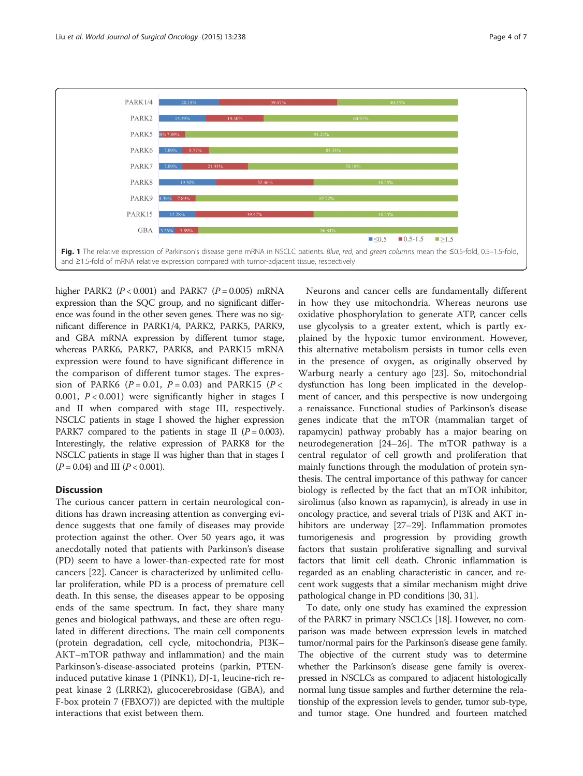<span id="page-3-0"></span>

higher PARK2 ( $P < 0.001$ ) and PARK7 ( $P = 0.005$ ) mRNA expression than the SQC group, and no significant difference was found in the other seven genes. There was no significant difference in PARK1/4, PARK2, PARK5, PARK9, and GBA mRNA expression by different tumor stage, whereas PARK6, PARK7, PARK8, and PARK15 mRNA expression were found to have significant difference in the comparison of different tumor stages. The expression of PARK6 ( $P = 0.01$ ,  $P = 0.03$ ) and PARK15 ( $P <$ 0.001,  $P < 0.001$ ) were significantly higher in stages I and II when compared with stage III, respectively. NSCLC patients in stage I showed the higher expression PARK7 compared to the patients in stage II ( $P = 0.003$ ). Interestingly, the relative expression of PARK8 for the NSCLC patients in stage II was higher than that in stages I  $(P = 0.04)$  and III  $(P < 0.001)$ .

### **Discussion**

The curious cancer pattern in certain neurological conditions has drawn increasing attention as converging evidence suggests that one family of diseases may provide protection against the other. Over 50 years ago, it was anecdotally noted that patients with Parkinson's disease (PD) seem to have a lower-than-expected rate for most cancers [[22\]](#page-6-0). Cancer is characterized by unlimited cellular proliferation, while PD is a process of premature cell death. In this sense, the diseases appear to be opposing ends of the same spectrum. In fact, they share many genes and biological pathways, and these are often regulated in different directions. The main cell components (protein degradation, cell cycle, mitochondria, PI3K– AKT–mTOR pathway and inflammation) and the main Parkinson's-disease-associated proteins (parkin, PTENinduced putative kinase 1 (PINK1), DJ-1, leucine-rich repeat kinase 2 (LRRK2), glucocerebrosidase (GBA), and F-box protein 7 (FBXO7)) are depicted with the multiple interactions that exist between them.

Neurons and cancer cells are fundamentally different in how they use mitochondria. Whereas neurons use oxidative phosphorylation to generate ATP, cancer cells use glycolysis to a greater extent, which is partly explained by the hypoxic tumor environment. However, this alternative metabolism persists in tumor cells even in the presence of oxygen, as originally observed by Warburg nearly a century ago [[23](#page-6-0)]. So, mitochondrial dysfunction has long been implicated in the development of cancer, and this perspective is now undergoing a renaissance. Functional studies of Parkinson's disease genes indicate that the mTOR (mammalian target of rapamycin) pathway probably has a major bearing on neurodegeneration [\[24](#page-6-0)–[26\]](#page-6-0). The mTOR pathway is a central regulator of cell growth and proliferation that mainly functions through the modulation of protein synthesis. The central importance of this pathway for cancer biology is reflected by the fact that an mTOR inhibitor, sirolimus (also known as rapamycin), is already in use in oncology practice, and several trials of PI3K and AKT in-hibitors are underway [\[27](#page-6-0)–[29](#page-6-0)]. Inflammation promotes tumorigenesis and progression by providing growth factors that sustain proliferative signalling and survival factors that limit cell death. Chronic inflammation is regarded as an enabling characteristic in cancer, and recent work suggests that a similar mechanism might drive pathological change in PD conditions [[30](#page-6-0), [31\]](#page-6-0).

To date, only one study has examined the expression of the PARK7 in primary NSCLCs [\[18\]](#page-6-0). However, no comparison was made between expression levels in matched tumor/normal pairs for the Parkinson's disease gene family. The objective of the current study was to determine whether the Parkinson's disease gene family is overexpressed in NSCLCs as compared to adjacent histologically normal lung tissue samples and further determine the relationship of the expression levels to gender, tumor sub-type, and tumor stage. One hundred and fourteen matched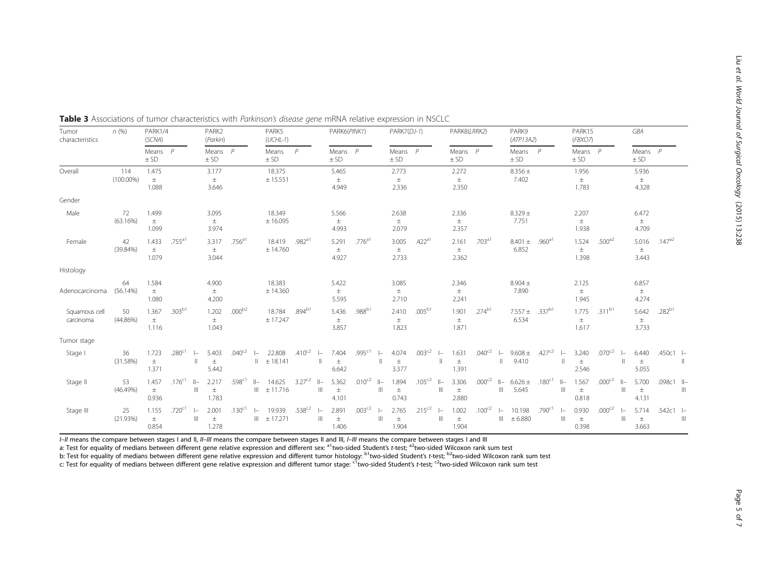| Tumor<br>characteristics   | n(%)                | PARK1/4<br>(SCNA)       |             |                           | PARK2<br>(Parkin)       |                    |                    | PARK5<br>$(UCHL-1)$       |             |                                    | PARK6(PINK1)            |                    |                       | PARK7(DJ-1)             |                    |                                    | PARK8(LRRK2)            |                    |                       | PARK9<br>(ATP13A2)             |                    |              | PARK15<br>(FBXO7)       |             |                | GBA                     |             |              |
|----------------------------|---------------------|-------------------------|-------------|---------------------------|-------------------------|--------------------|--------------------|---------------------------|-------------|------------------------------------|-------------------------|--------------------|-----------------------|-------------------------|--------------------|------------------------------------|-------------------------|--------------------|-----------------------|--------------------------------|--------------------|--------------|-------------------------|-------------|----------------|-------------------------|-------------|--------------|
|                            |                     | Means $P$<br>± SD       |             |                           | Means $P$<br>± SD       |                    |                    | Means<br>$±$ SD           | P           |                                    | Means $P$<br>$\pm$ SD   |                    |                       | Means $P$<br>$±$ SD     |                    |                                    | Means $P$<br>± SD       |                    |                       | Means $P$<br>$±$ SD            |                    |              | Means $P$<br>$±$ SD     |             |                | Means $P$<br>$±$ SD     |             |              |
| Overall                    | 114<br>$(100.00\%)$ | 1.475<br>$\pm$<br>1.088 |             |                           | 3.177<br>$\pm$<br>3.646 |                    |                    | 18.375<br>± 15.551        |             |                                    | 5.465<br>$\pm$<br>4.949 |                    |                       | 2.773<br>$\pm$<br>2.336 |                    |                                    | 2.272<br>$\pm$<br>2.350 |                    |                       | $8.356 \pm$<br>7.402           |                    |              | 1.956<br>$\pm$<br>1.783 |             |                | 5.936<br>$\pm$<br>4.328 |             |              |
| Gender                     |                     |                         |             |                           |                         |                    |                    |                           |             |                                    |                         |                    |                       |                         |                    |                                    |                         |                    |                       |                                |                    |              |                         |             |                |                         |             |              |
| Male                       | 72<br>(63.16%)      | 1.499<br>$\pm$<br>1.099 |             |                           | 3.095<br>土<br>3.974     |                    |                    | 18.349<br>± 16.095        |             |                                    | 5.566<br>$\pm$<br>4.993 |                    |                       | 2.638<br>$\pm$<br>2.079 |                    |                                    | 2.336<br>$\pm$<br>2.357 |                    |                       | $8.329 \pm$<br>7.751           |                    |              | 2.207<br>$\pm$<br>1.938 |             |                | 6.472<br>$\pm$<br>4.709 |             |              |
| Female                     | 42<br>$(39.84\%)$   | 1.433<br>$\pm$<br>1.079 | $.755^{a1}$ |                           | 3.317<br>$\pm$<br>3.044 | $.756^{a1}$        |                    | 18.419<br>± 14.760        | $.982^{a1}$ |                                    | 5.291<br>$\pm$<br>4.927 | $.776^{a1}$        |                       | 3.005<br>$\pm$<br>2.733 | .422 <sup>a1</sup> |                                    | 2.161<br>土<br>2.362     | .703 <sup>al</sup> |                       | $8.401 \pm .960^{a1}$<br>6.852 |                    |              | 1.524<br>$\pm$<br>1.398 | $.500^{a2}$ |                | 5.016<br>$\pm$<br>3.443 | $.147^{a2}$ |              |
| Histology                  |                     |                         |             |                           |                         |                    |                    |                           |             |                                    |                         |                    |                       |                         |                    |                                    |                         |                    |                       |                                |                    |              |                         |             |                |                         |             |              |
| Adenocarcinoma             | 64<br>(56.14%)      | 1.584<br>$\pm$<br>1.080 |             |                           | 4.900<br>土<br>4.200     |                    |                    | 18.383<br>± 14.360        |             |                                    | 5.422<br>士<br>5.595     |                    |                       | 3.085<br>$\pm$<br>2.710 |                    |                                    | 2.346<br>$\pm$<br>2.241 |                    |                       | $8.904 \pm$<br>7.890           |                    |              | 2.125<br>$\pm$<br>1.945 |             |                | 6.857<br>$\pm$<br>4.274 |             |              |
| Squamous cell<br>carcinoma | 50<br>$(44.86\%)$   | 1.367<br>$\pm$<br>1.116 | $.303^{b1}$ |                           | 1.202<br>$\pm$<br>1.043 | $.000^{b2}$        |                    | 18.784<br>± 17.247        | $.894^{b1}$ |                                    | 5.436<br>$\pm$<br>3.857 | .988 <sup>b1</sup> |                       | 2.410<br>$\pm$<br>1.823 | $.005^{b1}$        |                                    | 1.901<br>$\pm$<br>1.871 | $.274^{b1}$        |                       | $7.557 \pm$<br>6.534           | $.337^{b1}$        |              | 1.775<br>$\pm$<br>1.617 | $.311^{b1}$ |                | 5.642<br>$\pm$<br>3.733 | $.282^{b1}$ |              |
| Tumor stage                |                     |                         |             |                           |                         |                    |                    |                           |             |                                    |                         |                    |                       |                         |                    |                                    |                         |                    |                       |                                |                    |              |                         |             |                |                         |             |              |
| Stage I                    | 36<br>(31.58%)      | 1.723<br>$\pm$<br>1.371 | $.280^{c1}$ | $\mathbb{I}$              | 5.403<br>$\pm$<br>5.442 | $.040^{c2}$        | $\mathbb{I}$       | 22.808<br>± 18.141        | $.410^{c2}$ | $\left  - \right $<br>$\mathbb{I}$ | 7.404<br>$\pm$<br>6.642 | .995 <sup>c1</sup> | $\mathbf{I}$          | 4.074<br>$\pm$<br>3.377 | $.003^{c2}$        | $\left  - \right $<br>$\mathbb{I}$ | 1.631<br>$\pm$<br>1.391 | $.040^{c2}$        |                       | $9.608 \pm$<br>9.410           | $.427^{c2}$        |              | 3.240<br>$\pm$<br>2.546 | $.070^{c2}$ | $\mathbf{I}$   | 6.440<br>$\pm$<br>5.055 | $.450c1 -$  | $\mathbb{I}$ |
| Stage II                   | 53<br>(46.49%)      | 1.457<br>土<br>0.936     | $.176^{c1}$ | $  -$<br>$\mathbb{H}$     | 2.217<br>$\pm$<br>1.783 | .598 <sup>c1</sup> | $  -$              | 14.625<br>$\  \pm 11.716$ | $3.27^{c2}$ | $  -$<br>$\ $                      | 5.362<br>$\pm$<br>4.101 | $.010^{c2}$        | $  -$<br>$\mathbb{H}$ | 1.894<br>$\pm$<br>0.743 | $.105^{c2}$        | $  -$<br>$\parallel$               | 3.306<br>$\pm$<br>2.880 | $.000^{c2}$        | $  -$<br>$\mathbb{H}$ | $6.626 \pm$<br>5.645           | $.180^{c1}$        | $  -$        | 1.567<br>$\pm$<br>0.818 | $.000^{c2}$ | $  -$<br>Ш     | 5.700<br>$\pm$<br>4.131 | .098c1 Il-  | $\mathbb{H}$ |
| Stage III                  | 25<br>(21.93%)      | 1.155<br>$\pm$<br>0.854 | $.720^{c1}$ | $\vert -$<br>$\mathbb{H}$ | 2.001<br>$\pm$<br>1.278 | $.130^{c1}$        | $\left  - \right $ | 19.939<br>$III = 17.271$  | $.538^{c2}$ | $\left  - \right $<br>$\mathbb{H}$ | 2.891<br>$\pm$<br>1.406 | $.003^{c2}$        | $\mathbb{H}$          | 2.765<br>$\pm$<br>1.904 | $.215^{c2}$        | $\left  - \right $<br>Ш            | 1.002<br>$\pm$<br>1.904 | $.100^{c2}$        | $\mathbb{H}$          | 10.198<br>± 6.880              | .790 <sup>c1</sup> | $\mathbb{I}$ | 0.930<br>$\pm$<br>0.398 | $.000^{c2}$ | $\vert -$<br>Ш | 5.714<br>$\pm$<br>3.663 | $.542c1 -$  | $\mathbb{H}$ |

<span id="page-4-0"></span>Table 3 Associations of tumor characteristics with Parkinson's disease gene mRNA relative expression in NSCLC

I–II means the compare between stages I and II, II–III means the compare between stages II and III, I–III means the compare between stages I and III

a: Test for equality of medians between different gene relative expression and different sex: <sup>a1</sup>two-sided Student's *t-*test; <sup>a2</sup>two-sided Wilcoxon rank sum test

b: Test for equality of medians between different gene relative expression and different tumor histology: <sup>b1</sup>two-sided Student's *t-test; <sup>b2</sup>two-sided Wilcoxon rank sum test* 

c: Test for equality of medians between different gene relative expression and different tumor stage: <sup>c1</sup>two-sided Student's t-test; <sup>c2</sup>two-sided Wilcoxon rank sum test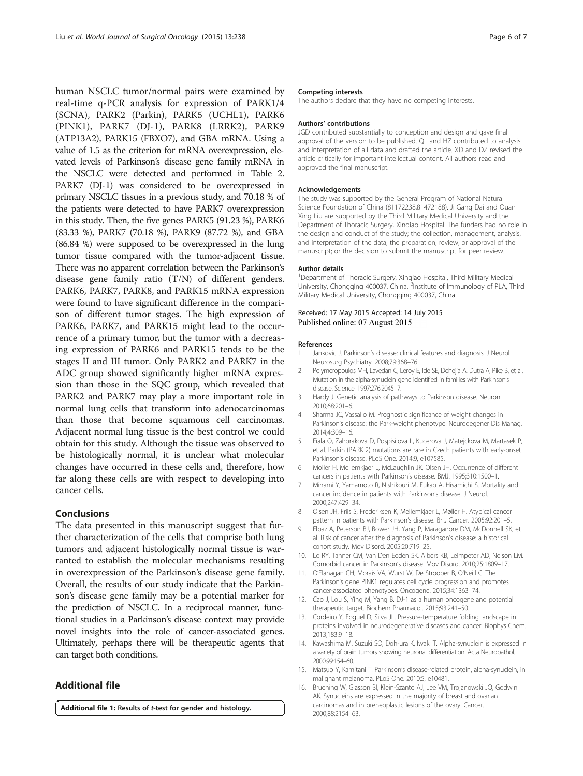<span id="page-5-0"></span>human NSCLC tumor/normal pairs were examined by real-time q-PCR analysis for expression of PARK1/4 (SCNA), PARK2 (Parkin), PARK5 (UCHL1), PARK6 (PINK1), PARK7 (DJ-1), PARK8 (LRRK2), PARK9 (ATP13A2), PARK15 (FBXO7), and GBA mRNA. Using a value of 1.5 as the criterion for mRNA overexpression, elevated levels of Parkinson's disease gene family mRNA in the NSCLC were detected and performed in Table [2](#page-2-0). PARK7 (DJ-1) was considered to be overexpressed in primary NSCLC tissues in a previous study, and 70.18 % of the patients were detected to have PARK7 overexpression in this study. Then, the five genes PARK5 (91.23 %), PARK6 (83.33 %), PARK7 (70.18 %), PARK9 (87.72 %), and GBA (86.84 %) were supposed to be overexpressed in the lung tumor tissue compared with the tumor-adjacent tissue. There was no apparent correlation between the Parkinson's disease gene family ratio (T/N) of different genders. PARK6, PARK7, PARK8, and PARK15 mRNA expression were found to have significant difference in the comparison of different tumor stages. The high expression of PARK6, PARK7, and PARK15 might lead to the occurrence of a primary tumor, but the tumor with a decreasing expression of PARK6 and PARK15 tends to be the stages II and III tumor. Only PARK2 and PARK7 in the ADC group showed significantly higher mRNA expression than those in the SQC group, which revealed that PARK2 and PARK7 may play a more important role in normal lung cells that transform into adenocarcinomas than those that become squamous cell carcinomas. Adjacent normal lung tissue is the best control we could obtain for this study. Although the tissue was observed to be histologically normal, it is unclear what molecular changes have occurred in these cells and, therefore, how far along these cells are with respect to developing into cancer cells.

#### Conclusions

The data presented in this manuscript suggest that further characterization of the cells that comprise both lung tumors and adjacent histologically normal tissue is warranted to establish the molecular mechanisms resulting in overexpression of the Parkinson's disease gene family. Overall, the results of our study indicate that the Parkinson's disease gene family may be a potential marker for the prediction of NSCLC. In a reciprocal manner, functional studies in a Parkinson's disease context may provide novel insights into the role of cancer-associated genes. Ultimately, perhaps there will be therapeutic agents that can target both conditions.

# Additional file

[Additional file 1:](http://www.wjso.com/content/supplementary/s12957-015-0646-y-s1.docx) Results of t-test for gender and histology.

#### Competing interests

The authors declare that they have no competing interests.

#### Authors' contributions

JGD contributed substantially to conception and design and gave final approval of the version to be published. QL and HZ contributed to analysis and interpretation of all data and drafted the article. XD and DZ revised the article critically for important intellectual content. All authors read and approved the final manuscript.

#### Acknowledgements

The study was supported by the General Program of National Natural Science Foundation of China (81172238,81472188). Ji Gang Dai and Quan Xing Liu are supported by the Third Military Medical University and the Department of Thoracic Surgery, Xinqiao Hospital. The funders had no role in the design and conduct of the study; the collection, management, analysis, and interpretation of the data; the preparation, review, or approval of the manuscript; or the decision to submit the manuscript for peer review.

#### Author details

<sup>1</sup>Department of Thoracic Surgery, Xinqiao Hospital, Third Military Medical University, Chongqing 400037, China. <sup>2</sup>Institute of Immunology of PLA, Third Military Medical University, Chongqing 400037, China.

#### Received: 17 May 2015 Accepted: 14 July 2015 Published online: 07 August 2015

#### References

- 1. Jankovic J. Parkinson's disease: clinical features and diagnosis. J Neurol Neurosurg Psychiatry. 2008;79:368–76.
- 2. Polymeropoulos MH, Lavedan C, Leroy E, Ide SE, Dehejia A, Dutra A, Pike B, et al. Mutation in the alpha-synuclein gene identified in families with Parkinson's disease. Science. 1997;276:2045–7.
- 3. Hardy J. Genetic analysis of pathways to Parkinson disease. Neuron. 2010;68:201–6.
- 4. Sharma JC, Vassallo M. Prognostic significance of weight changes in Parkinson's disease: the Park-weight phenotype. Neurodegener Dis Manag. 2014;4:309–16.
- 5. Fiala O, Zahorakova D, Pospisilova L, Kucerova J, Matejckova M, Martasek P, et al. Parkin (PARK 2) mutations are rare in Czech patients with early-onset Parkinson's disease. PLoS One. 2014;9, e107585.
- 6. Moller H, Mellemkjaer L, McLaughlin JK, Olsen JH. Occurrence of different cancers in patients with Parkinson's disease. BMJ. 1995;310:1500–1.
- 7. Minami Y, Yamamoto R, Nishikouri M, Fukao A, Hisamichi S. Mortality and cancer incidence in patients with Parkinson's disease. J Neurol. 2000;247:429–34.
- 8. Olsen JH, Friis S, Frederiksen K, Mellemkjaer L, Møller H. Atypical cancer pattern in patients with Parkinson's disease. Br J Cancer. 2005;92:201–5.
- 9. Elbaz A, Peterson BJ, Bower JH, Yang P, Maraganore DM, McDonnell SK, et al. Risk of cancer after the diagnosis of Parkinson's disease: a historical cohort study. Mov Disord. 2005;20:719–25.
- 10. Lo RY, Tanner CM, Van Den Eeden SK, Albers KB, Leimpeter AD, Nelson LM. Comorbid cancer in Parkinson's disease. Mov Disord. 2010;25:1809–17.
- 11. O'Flanagan CH, Morais VA, Wurst W, De Strooper B, O'Neill C. The Parkinson's gene PINK1 regulates cell cycle progression and promotes cancer-associated phenotypes. Oncogene. 2015;34:1363–74.
- 12. Cao J, Lou S, Ying M, Yang B. DJ-1 as a human oncogene and potential therapeutic target. Biochem Pharmacol. 2015;93:241–50.
- 13. Cordeiro Y, Foguel D, Silva JL. Pressure-temperature folding landscape in proteins involved in neurodegenerative diseases and cancer. Biophys Chem. 2013;183:9–18.
- 14. Kawashima M, Suzuki SO, Doh-ura K, Iwaki T. Alpha-synuclein is expressed in a variety of brain tumors showing neuronal differentiation. Acta Neuropathol. 2000;99:154–60.
- 15. Matsuo Y, Kamitani T. Parkinson's disease-related protein, alpha-synuclein, in malignant melanoma. PLoS One. 2010;5, e10481.
- 16. Bruening W, Giasson BI, Klein-Szanto AJ, Lee VM, Trojanowski JQ, Godwin AK. Synucleins are expressed in the majority of breast and ovarian carcinomas and in preneoplastic lesions of the ovary. Cancer. 2000;88:2154–63.